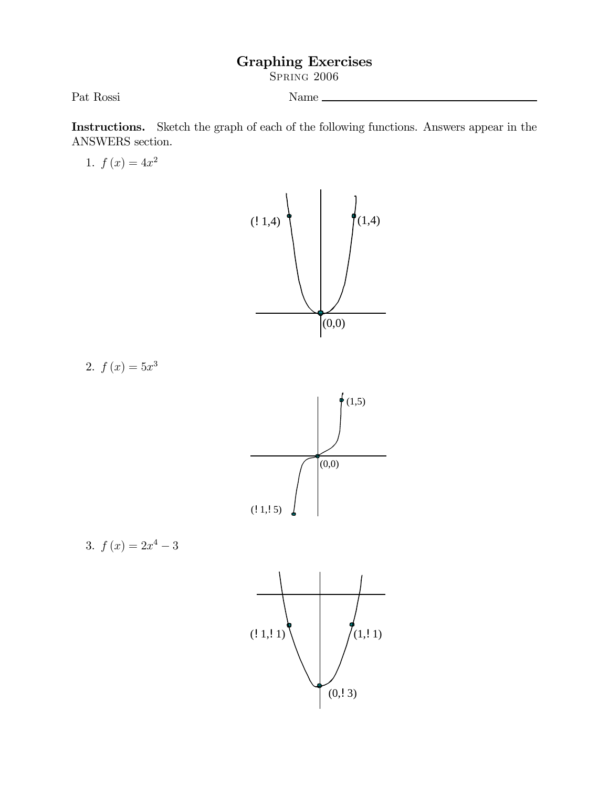## Graphing Exercises

Spring 2006

Pat Rossi<br/> Name $\_$ 

Instructions. Sketch the graph of each of the following functions. Answers appear in the ANSWERS section.

1.  $f(x)=4x^2$ 



2.  $f(x)=5x^3$ 



3. 
$$
f(x) = 2x^4 - 3
$$

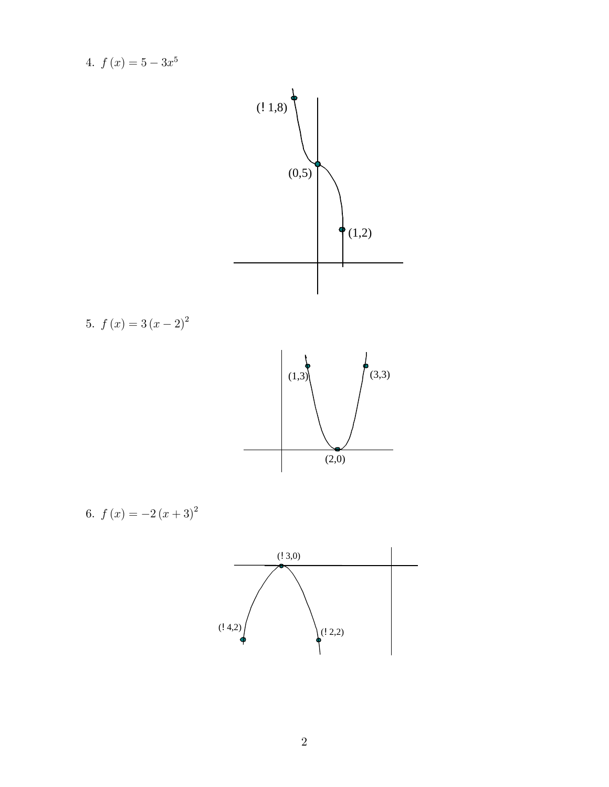4.  $f(x)=5-3x^5$  $(0,5)$  $\bullet$  (1,2)  $(1,8)$ 5.  $f (x) = 3 (x - 2)^2$  $(1,3)$   $(3,3)$  $(2,0)$ 6.  $f (x) = -2 (x + 3)^2$ 

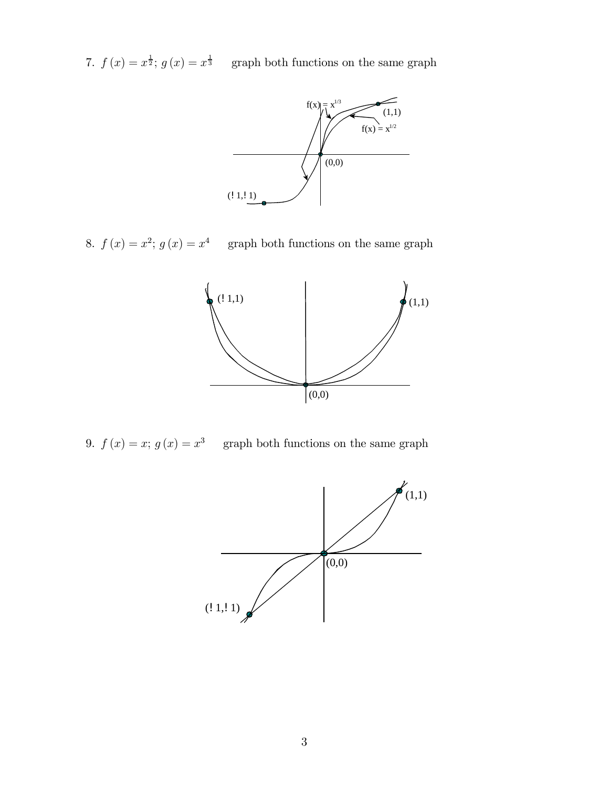7.  $f(x) = x^{\frac{1}{2}}$ ;  $g(x) = x^{\frac{1}{3}}$  graph both functions on the same graph



8.  $f(x) = x^2$ ;  $g(x) = x^4$  graph both functions on the same graph



9.  $f(x) = x$ ;  $g(x) = x^3$  graph both functions on the same graph